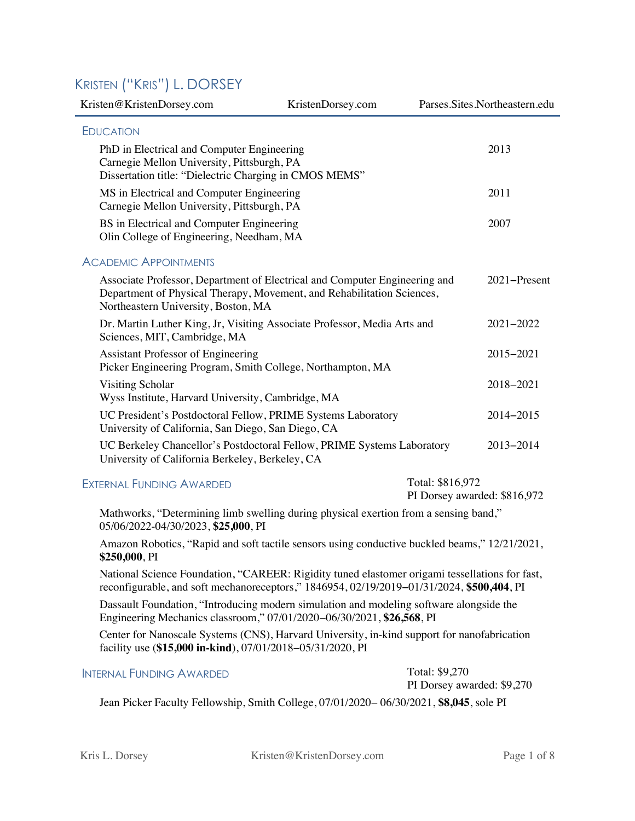# KRISTEN ("KRIS") L. DORSEY

| Kristen@KristenDorsey.com                                                                                                                                                                   | KristenDorsey.com |                  | Parses.Sites.Northeastern.edu |
|---------------------------------------------------------------------------------------------------------------------------------------------------------------------------------------------|-------------------|------------------|-------------------------------|
| <b>EDUCATION</b>                                                                                                                                                                            |                   |                  |                               |
| PhD in Electrical and Computer Engineering<br>Carnegie Mellon University, Pittsburgh, PA<br>Dissertation title: "Dielectric Charging in CMOS MEMS"                                          |                   |                  | 2013                          |
| MS in Electrical and Computer Engineering<br>Carnegie Mellon University, Pittsburgh, PA                                                                                                     |                   |                  | 2011                          |
| BS in Electrical and Computer Engineering<br>Olin College of Engineering, Needham, MA                                                                                                       |                   |                  | 2007                          |
| <b>ACADEMIC APPOINTMENTS</b>                                                                                                                                                                |                   |                  |                               |
| Associate Professor, Department of Electrical and Computer Engineering and<br>Department of Physical Therapy, Movement, and Rehabilitation Sciences,<br>Northeastern University, Boston, MA |                   |                  | 2021-Present                  |
| Dr. Martin Luther King, Jr, Visiting Associate Professor, Media Arts and<br>Sciences, MIT, Cambridge, MA                                                                                    |                   |                  | $2021 - 2022$                 |
| Assistant Professor of Engineering<br>Picker Engineering Program, Smith College, Northampton, MA                                                                                            |                   |                  | 2015-2021                     |
| Visiting Scholar<br>Wyss Institute, Harvard University, Cambridge, MA                                                                                                                       |                   |                  | 2018-2021                     |
| UC President's Postdoctoral Fellow, PRIME Systems Laboratory<br>University of California, San Diego, San Diego, CA                                                                          |                   |                  | 2014-2015                     |
| UC Berkeley Chancellor's Postdoctoral Fellow, PRIME Systems Laboratory<br>University of California Berkeley, Berkeley, CA                                                                   |                   |                  | 2013-2014                     |
| FYTERNAL FUNDING AWARDED                                                                                                                                                                    |                   | Total: \$816.972 |                               |

#### $\tt{exit}$ KNAL <code>runding</code>  $\tt{AWARDED}$

PI Dorsey awarded: \$816,972

Mathworks, "Determining limb swelling during physical exertion from a sensing band," 05/06/2022-04/30/2023, **\$25,000**, PI

Amazon Robotics, "Rapid and soft tactile sensors using conductive buckled beams," 12/21/2021, **\$250,000**, PI

National Science Foundation, "CAREER: Rigidity tuned elastomer origami tessellations for fast, reconfigurable, and soft mechanoreceptors," 1846954, 02/19/2019−01/31/2024, **\$500,404**, PI

Dassault Foundation, "Introducing modern simulation and modeling software alongside the Engineering Mechanics classroom," 07/01/2020−06/30/2021, **\$26,568**, PI

Center for Nanoscale Systems (CNS), Harvard University, in-kind support for nanofabrication facility use (**\$15,000 in-kind**), 07/01/2018−05/31/2020, PI

### INTERNAL FUNDING AWARDED Total: \$9,270

PI Dorsey awarded: \$9,270

Jean Picker Faculty Fellowship, Smith College, 07/01/2020− 06/30/2021, **\$8,045**, sole PI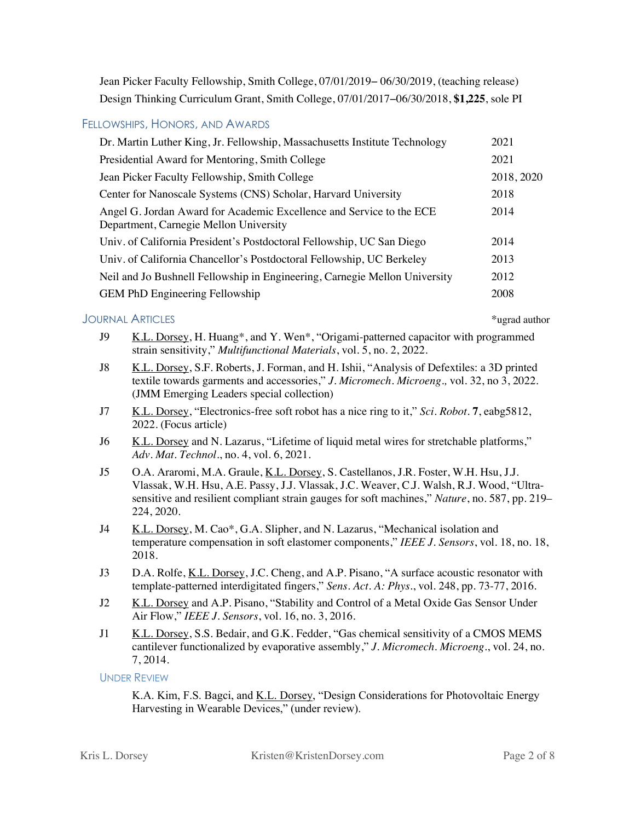Jean Picker Faculty Fellowship, Smith College, 07/01/2019− 06/30/2019, (teaching release) Design Thinking Curriculum Grant, Smith College, 07/01/2017−06/30/2018, **\$1,225**, sole PI

### FELLOWSHIPS, HONORS, AND AWARDS

| Dr. Martin Luther King, Jr. Fellowship, Massachusetts Institute Technology                                     | 2021       |
|----------------------------------------------------------------------------------------------------------------|------------|
| Presidential Award for Mentoring, Smith College                                                                | 2021       |
| Jean Picker Faculty Fellowship, Smith College                                                                  | 2018, 2020 |
| Center for Nanoscale Systems (CNS) Scholar, Harvard University                                                 | 2018       |
| Angel G. Jordan Award for Academic Excellence and Service to the ECE<br>Department, Carnegie Mellon University | 2014       |
| Univ. of California President's Postdoctoral Fellowship, UC San Diego                                          | 2014       |
| Univ. of California Chancellor's Postdoctoral Fellowship, UC Berkeley                                          | 2013       |
| Neil and Jo Bushnell Fellowship in Engineering, Carnegie Mellon University                                     | 2012       |
| <b>GEM PhD Engineering Fellowship</b>                                                                          | 2008       |

#### JOURNAL ARTICLES \*ugrad author

- J9 K.L. Dorsey, H. Huang\*, and Y. Wen\*, "Origami-patterned capacitor with programmed strain sensitivity," *Multifunctional Materials*, vol. 5, no. 2, 2022.
- J8 K.L. Dorsey, S.F. Roberts, J. Forman, and H. Ishii, "Analysis of Defextiles: a 3D printed textile towards garments and accessories," *J. Micromech. Microeng.,* vol. 32, no 3, 2022. (JMM Emerging Leaders special collection)
- J7 K.L. Dorsey, "Electronics-free soft robot has a nice ring to it," *Sci. Robot*. **7**, eabg5812, 2022. (Focus article)
- J6 K.L. Dorsey and N. Lazarus, "Lifetime of liquid metal wires for stretchable platforms," *Adv. Mat. Technol.*, no. 4, vol. 6, 2021.
- J5 O.A. Araromi, M.A. Graule, <u>K.L. Dorsey</u>, S. Castellanos, J.R. Foster, W.H. Hsu, J.J. Vlassak, W.H. Hsu, A.E. Passy, J.J. Vlassak, J.C. Weaver, C.J. Walsh, R.J. Wood, "Ultrasensitive and resilient compliant strain gauges for soft machines," *Nature*, no. 587, pp. 219– 224, 2020.
- J4 K.L. Dorsey, M. Cao\*, G.A. Slipher, and N. Lazarus, "Mechanical isolation and temperature compensation in soft elastomer components," *IEEE J. Sensors*, vol. 18, no. 18, 2018.
- J3 D.A. Rolfe, K.L. Dorsey, J.C. Cheng, and A.P. Pisano, "A surface acoustic resonator with template-patterned interdigitated fingers," *Sens. Act. A: Phys.*, vol. 248, pp. 73-77, 2016.
- J2 K.L. Dorsey and A.P. Pisano, "Stability and Control of a Metal Oxide Gas Sensor Under Air Flow," *IEEE J. Sensors*, vol. 16, no. 3, 2016.
- J1 K.L. Dorsey, S.S. Bedair, and G.K. Fedder, "Gas chemical sensitivity of a CMOS MEMS cantilever functionalized by evaporative assembly," *J. Micromech. Microeng.*, vol. 24, no. 7, 2014.

#### UNDER REVIEW

K.A. Kim, F.S. Bagci, and K.L. Dorsey, "Design Considerations for Photovoltaic Energy Harvesting in Wearable Devices," (under review).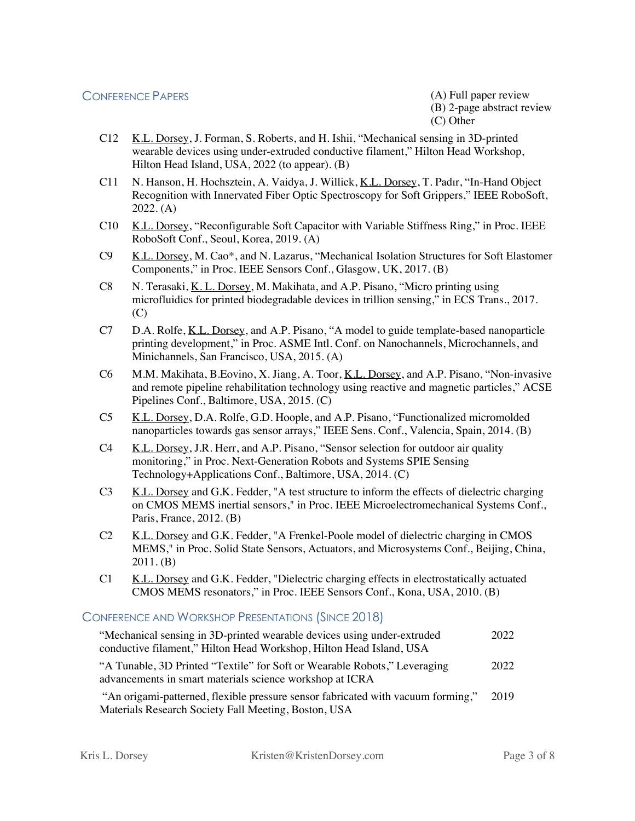(B) 2-page abstract review (C) Other

- C12 K.L. Dorsey, J. Forman, S. Roberts, and H. Ishii, "Mechanical sensing in 3D-printed wearable devices using under-extruded conductive filament," Hilton Head Workshop, Hilton Head Island, USA, 2022 (to appear). (B)
- C11 N. Hanson, H. Hochsztein, A. Vaidya, J. Willick, K.L. Dorsey, T. Padır, "In-Hand Object Recognition with Innervated Fiber Optic Spectroscopy for Soft Grippers," IEEE RoboSoft, 2022. (A)
- C10 K.L. Dorsey, "Reconfigurable Soft Capacitor with Variable Stiffness Ring," in Proc. IEEE RoboSoft Conf., Seoul, Korea, 2019. (A)
- C9 K.L. Dorsey, M. Cao\*, and N. Lazarus, "Mechanical Isolation Structures for Soft Elastomer Components," in Proc. IEEE Sensors Conf., Glasgow, UK, 2017. (B)
- C8 N. Terasaki, K. L. Dorsey, M. Makihata, and A.P. Pisano, "Micro printing using microfluidics for printed biodegradable devices in trillion sensing," in ECS Trans., 2017. (C)
- C7 D.A. Rolfe, K.L. Dorsey, and A.P. Pisano, "A model to guide template-based nanoparticle printing development," in Proc. ASME Intl. Conf. on Nanochannels, Microchannels, and Minichannels, San Francisco, USA, 2015. (A)
- C6 M.M. Makihata, B.Eovino, X. Jiang, A. Toor, K.L. Dorsey, and A.P. Pisano, "Non-invasive and remote pipeline rehabilitation technology using reactive and magnetic particles," ACSE Pipelines Conf., Baltimore, USA, 2015. (C)
- C5 K.L. Dorsey, D.A. Rolfe, G.D. Hoople, and A.P. Pisano, "Functionalized micromolded nanoparticles towards gas sensor arrays," IEEE Sens. Conf., Valencia, Spain, 2014. (B)
- C4 K.L. Dorsey, J.R. Herr, and A.P. Pisano, "Sensor selection for outdoor air quality monitoring," in Proc. Next-Generation Robots and Systems SPIE Sensing Technology+Applications Conf., Baltimore, USA, 2014. (C)
- C3 K.L. Dorsey and G.K. Fedder, "A test structure to inform the effects of dielectric charging on CMOS MEMS inertial sensors," in Proc. IEEE Microelectromechanical Systems Conf., Paris, France, 2012. (B)
- C2 K.L. Dorsey and G.K. Fedder, "A Frenkel-Poole model of dielectric charging in CMOS MEMS," in Proc. Solid State Sensors, Actuators, and Microsystems Conf., Beijing, China, 2011. (B)
- C1 K.L. Dorsey and G.K. Fedder, "Dielectric charging effects in electrostatically actuated CMOS MEMS resonators," in Proc. IEEE Sensors Conf., Kona, USA, 2010. (B)

### CONFERENCE AND WORKSHOP PRESENTATIONS (SINCE 2018)

| "Mechanical sensing in 3D-printed wearable devices using under-extruded                                                               | 2022 |
|---------------------------------------------------------------------------------------------------------------------------------------|------|
| conductive filament," Hilton Head Workshop, Hilton Head Island, USA                                                                   |      |
| "A Tunable, 3D Printed "Textile" for Soft or Wearable Robots," Leveraging<br>advancements in smart materials science workshop at ICRA | 2022 |
| "An origami-patterned, flexible pressure sensor fabricated with vacuum forming,"                                                      | 2019 |
| Materials Research Society Fall Meeting, Boston, USA                                                                                  |      |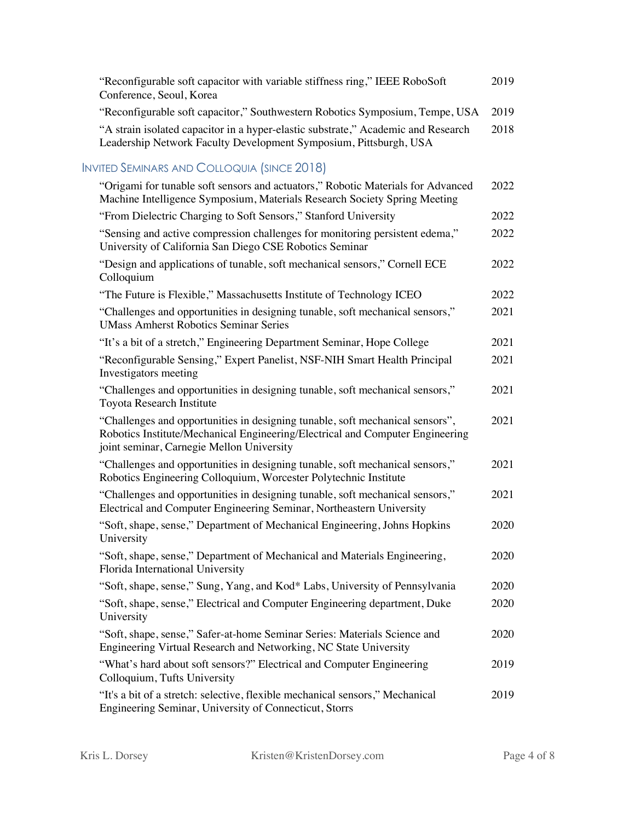| "Reconfigurable soft capacitor with variable stiffness ring," IEEE RoboSoft       | 2019 |
|-----------------------------------------------------------------------------------|------|
| Conference, Seoul, Korea                                                          |      |
| "Reconfigurable soft capacitor," Southwestern Robotics Symposium, Tempe, USA      | 2019 |
| "A strain isolated capacitor in a hyper-elastic substrate," Academic and Research | 2018 |
| Leadership Network Faculty Development Symposium, Pittsburgh, USA                 |      |

## INVITED SEMINARS AND COLLOQUIA (SINCE 2018)

| "Origami for tunable soft sensors and actuators," Robotic Materials for Advanced<br>Machine Intelligence Symposium, Materials Research Society Spring Meeting                                               | 2022 |
|-------------------------------------------------------------------------------------------------------------------------------------------------------------------------------------------------------------|------|
| "From Dielectric Charging to Soft Sensors," Stanford University                                                                                                                                             | 2022 |
| "Sensing and active compression challenges for monitoring persistent edema,"<br>University of California San Diego CSE Robotics Seminar                                                                     | 2022 |
| "Design and applications of tunable, soft mechanical sensors," Cornell ECE<br>Colloquium                                                                                                                    | 2022 |
| "The Future is Flexible," Massachusetts Institute of Technology ICEO                                                                                                                                        | 2022 |
| "Challenges and opportunities in designing tunable, soft mechanical sensors,"<br><b>UMass Amherst Robotics Seminar Series</b>                                                                               | 2021 |
| "It's a bit of a stretch," Engineering Department Seminar, Hope College                                                                                                                                     | 2021 |
| "Reconfigurable Sensing," Expert Panelist, NSF-NIH Smart Health Principal<br>Investigators meeting                                                                                                          | 2021 |
| "Challenges and opportunities in designing tunable, soft mechanical sensors,"<br>Toyota Research Institute                                                                                                  | 2021 |
| "Challenges and opportunities in designing tunable, soft mechanical sensors",<br>Robotics Institute/Mechanical Engineering/Electrical and Computer Engineering<br>joint seminar, Carnegie Mellon University | 2021 |
| "Challenges and opportunities in designing tunable, soft mechanical sensors,"<br>Robotics Engineering Colloquium, Worcester Polytechnic Institute                                                           | 2021 |
| "Challenges and opportunities in designing tunable, soft mechanical sensors,"<br>Electrical and Computer Engineering Seminar, Northeastern University                                                       | 2021 |
| "Soft, shape, sense," Department of Mechanical Engineering, Johns Hopkins<br>University                                                                                                                     | 2020 |
| "Soft, shape, sense," Department of Mechanical and Materials Engineering,<br>Florida International University                                                                                               | 2020 |
| "Soft, shape, sense," Sung, Yang, and Kod* Labs, University of Pennsylvania                                                                                                                                 | 2020 |
| "Soft, shape, sense," Electrical and Computer Engineering department, Duke<br>University                                                                                                                    | 2020 |
| "Soft, shape, sense," Safer-at-home Seminar Series: Materials Science and<br>Engineering Virtual Research and Networking, NC State University                                                               | 2020 |
| "What's hard about soft sensors?" Electrical and Computer Engineering<br>Colloquium, Tufts University                                                                                                       | 2019 |
| "It's a bit of a stretch: selective, flexible mechanical sensors," Mechanical<br>Engineering Seminar, University of Connecticut, Storrs                                                                     | 2019 |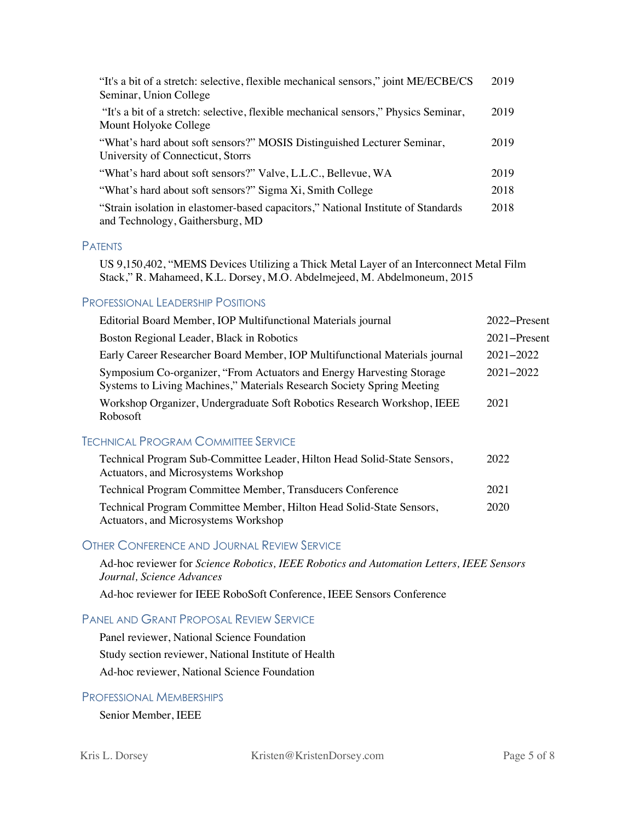| "It's a bit of a stretch: selective, flexible mechanical sensors," joint ME/ECBE/CS<br>Seminar, Union College         | 2019 |
|-----------------------------------------------------------------------------------------------------------------------|------|
| "It's a bit of a stretch: selective, flexible mechanical sensors," Physics Seminar,<br>Mount Holyoke College          | 2019 |
| "What's hard about soft sensors?" MOSIS Distinguished Lecturer Seminar,<br>University of Connecticut, Storrs          | 2019 |
| "What's hard about soft sensors?" Valve, L.L.C., Bellevue, WA                                                         | 2019 |
| "What's hard about soft sensors?" Sigma Xi, Smith College                                                             | 2018 |
| "Strain isolation in elastomer-based capacitors," National Institute of Standards<br>and Technology, Gaithersburg, MD | 2018 |

#### PATENTS

US 9,150,402, "MEMS Devices Utilizing a Thick Metal Layer of an Interconnect Metal Film Stack," R. Mahameed, K.L. Dorsey, M.O. Abdelmejeed, M. Abdelmoneum, 2015

#### PROFESSIONAL LEADERSHIP POSITIONS

| Editorial Board Member, IOP Multifunctional Materials journal                                                                                   | 2022–Present  |
|-------------------------------------------------------------------------------------------------------------------------------------------------|---------------|
| Boston Regional Leader, Black in Robotics                                                                                                       | 2021–Present  |
| Early Career Researcher Board Member, IOP Multifunctional Materials journal                                                                     | $2021 - 2022$ |
| Symposium Co-organizer, "From Actuators and Energy Harvesting Storage<br>Systems to Living Machines," Materials Research Society Spring Meeting | $2021 - 2022$ |
| Workshop Organizer, Undergraduate Soft Robotics Research Workshop, IEEE<br>Robosoft                                                             | 2021          |
| CHNICAL PROGRAM COMMITTEE SERVICE                                                                                                               |               |
|                                                                                                                                                 |               |

#### TECHNICAL PROGRAM COMMITTEE SERVICE

| Technical Program Sub-Committee Leader, Hilton Head Solid-State Sensors, | 2022 |
|--------------------------------------------------------------------------|------|
| Actuators, and Microsystems Workshop                                     |      |
| Technical Program Committee Member, Transducers Conference               | 2021 |
| Technical Program Committee Member, Hilton Head Solid-State Sensors,     | 2020 |
| Actuators, and Microsystems Workshop                                     |      |

#### OTHER CONFERENCE AND JOURNAL REVIEW SERVICE

Ad-hoc reviewer for *Science Robotics, IEEE Robotics and Automation Letters, IEEE Sensors Journal, Science Advances*

Ad-hoc reviewer for IEEE RoboSoft Conference, IEEE Sensors Conference

### PANEL AND GRANT PROPOSAL REVIEW SERVICE

Panel reviewer, National Science Foundation Study section reviewer, National Institute of Health Ad-hoc reviewer, National Science Foundation

#### PROFESSIONAL MEMBERSHIPS

Senior Member, IEEE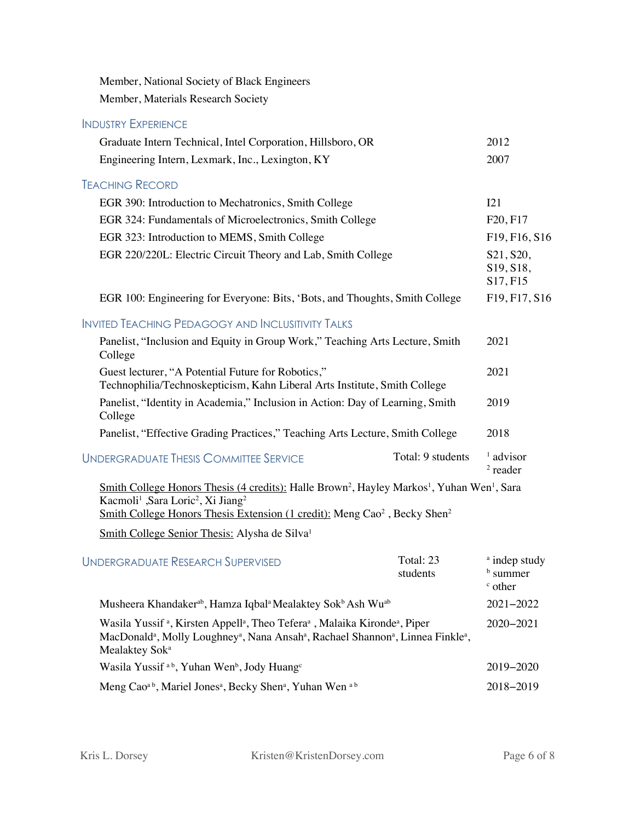Member, National Society of Black Engineers Member, Materials Research Society

### INDUSTRY EXPERIENCE Graduate Intern Technical, Intel Corporation, Hillsboro, OR 2012 Engineering Intern, Lexmark, Inc., Lexington, KY 2007 TEACHING RECORD EGR 390: Introduction to Mechatronics, Smith College I21 EGR 324: Fundamentals of Microelectronics, Smith College F20, F17 EGR 323: Introduction to MEMS, Smith College F19, F16, S16 EGR 220/220L: Electric Circuit Theory and Lab, Smith College S21, S20, S19, S18, S17, F15 EGR 100: Engineering for Everyone: Bits, 'Bots, and Thoughts, Smith College F19, F17, S16 INVITED TEACHING PEDAGOGY AND INCLUSITIVITY TALKS Panelist, "Inclusion and Equity in Group Work," Teaching Arts Lecture, Smith College 2021 Guest lecturer, "A Potential Future for Robotics," Technophilia/Technoskepticism, Kahn Liberal Arts Institute, Smith College 2021 Panelist, "Identity in Academia," Inclusion in Action: Day of Learning, Smith College 2019 Panelist, "Effective Grading Practices," Teaching Arts Lecture, Smith College 2018 UNDERGRADUATE THESIS COMMITTEE SERVICE Total: 9 students <sup>1</sup> advisor <sup>2</sup> reader Smith College Honors Thesis (4 credits): Halle Brown<sup>2</sup>, Hayley Markos<sup>1</sup>, Yuhan Wen<sup>1</sup>, Sara Kacmoli<sup>1</sup> ,Sara Loric<sup>2</sup>, Xi Jiang<sup>2</sup> Smith College Honors Thesis Extension (1 credit): Meng Cao<sup>2</sup>, Becky Shen<sup>2</sup> Smith College Senior Thesis: Alysha de Silva<sup>1</sup> UNDERGRADUATE RESEARCH SUPERVISED Total: 23 students <sup>a</sup> indep study <sup>b</sup> summer <sup>c</sup> other Musheera Khandakerab , Hamza Iqbala Mealaktey Sokb Ash Wuab 2021−2022 Wasila Yussif<sup>a</sup>, Kirsten Appell<sup>a</sup>, Theo Tefera<sup>a</sup>, Malaika Kironde<sup>a</sup>, Piper MacDonald<sup>a</sup>, Molly Loughney<sup>a</sup>, Nana Ansah<sup>a</sup>, Rachael Shannon<sup>a</sup>, Linnea Finkle<sup>a</sup>, Mealaktey Sok<sup>a</sup> 2020−2021 Wasila Yussif <sup>a b</sup>, Yuhan Wen<sup>b</sup>, Jody Huang<sup>c</sup> 2019−2020 Meng Cao<sup>a b</sup>, Mariel Jones<sup>a</sup>, Becky Shen<sup>a</sup>, Yuhan Wen <sup>a b</sup> 2018–2019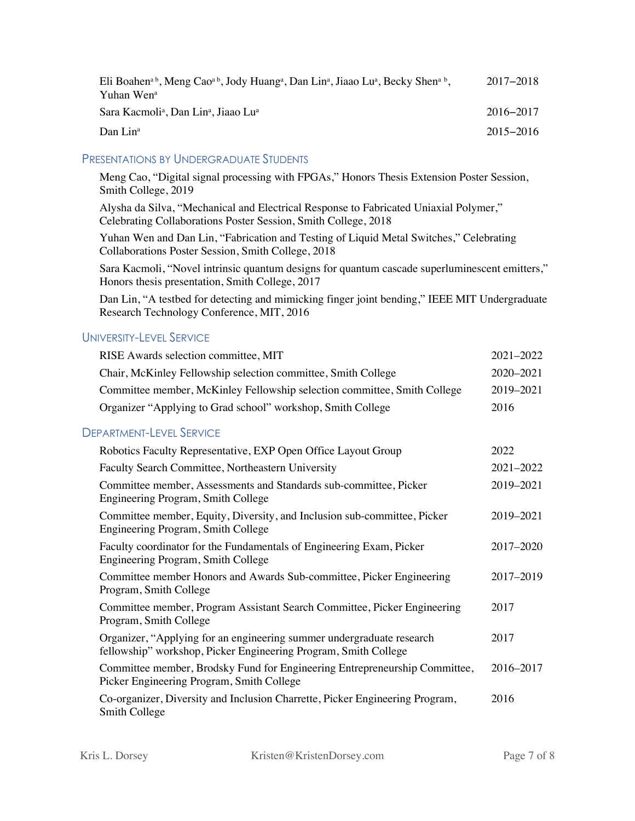| Eli Boahen <sup>a b</sup> , Meng Cao <sup>a b</sup> , Jody Huang <sup>a</sup> , Dan Lin <sup>a</sup> , Jiaao Lu <sup>a</sup> , Becky Shen <sup>a b</sup> ,<br>Yuhan Wen <sup>a</sup> | 2017–2018     |
|--------------------------------------------------------------------------------------------------------------------------------------------------------------------------------------|---------------|
| Sara Kacmoli <sup>a</sup> , Dan Lin <sup>a</sup> , Jiaao Lu <sup>a</sup>                                                                                                             | 2016–2017     |
| Dan Lin <sup>a</sup>                                                                                                                                                                 | $2015 - 2016$ |

#### PRESENTATIONS BY UNDERGRADUATE STUDENTS

Meng Cao, "Digital signal processing with FPGAs," Honors Thesis Extension Poster Session, Smith College, 2019

Alysha da Silva, "Mechanical and Electrical Response to Fabricated Uniaxial Polymer," Celebrating Collaborations Poster Session, Smith College, 2018

Yuhan Wen and Dan Lin, "Fabrication and Testing of Liquid Metal Switches," Celebrating Collaborations Poster Session, Smith College, 2018

Sara Kacmoli, "Novel intrinsic quantum designs for quantum cascade superluminescent emitters," Honors thesis presentation, Smith College, 2017

Dan Lin, "A testbed for detecting and mimicking finger joint bending," IEEE MIT Undergraduate Research Technology Conference, MIT, 2016

### UNIVERSITY-LEVEL SERVICE

| RISE Awards selection committee, MIT                                                                                                     | 2021-2022 |
|------------------------------------------------------------------------------------------------------------------------------------------|-----------|
| Chair, McKinley Fellowship selection committee, Smith College                                                                            | 2020-2021 |
| Committee member, McKinley Fellowship selection committee, Smith College                                                                 | 2019-2021 |
| Organizer "Applying to Grad school" workshop, Smith College                                                                              | 2016      |
| <b>DEPARTMENT-LEVEL SERVICE</b>                                                                                                          |           |
| Robotics Faculty Representative, EXP Open Office Layout Group                                                                            | 2022      |
| Faculty Search Committee, Northeastern University                                                                                        | 2021-2022 |
| Committee member, Assessments and Standards sub-committee, Picker<br>Engineering Program, Smith College                                  | 2019-2021 |
| Committee member, Equity, Diversity, and Inclusion sub-committee, Picker<br>Engineering Program, Smith College                           | 2019-2021 |
| Faculty coordinator for the Fundamentals of Engineering Exam, Picker<br>Engineering Program, Smith College                               | 2017-2020 |
| Committee member Honors and Awards Sub-committee, Picker Engineering<br>Program, Smith College                                           | 2017-2019 |
| Committee member, Program Assistant Search Committee, Picker Engineering<br>Program, Smith College                                       | 2017      |
| Organizer, "Applying for an engineering summer undergraduate research<br>fellowship" workshop, Picker Engineering Program, Smith College | 2017      |
| Committee member, Brodsky Fund for Engineering Entrepreneurship Committee,<br>Picker Engineering Program, Smith College                  | 2016-2017 |
| Co-organizer, Diversity and Inclusion Charrette, Picker Engineering Program,<br>Smith College                                            | 2016      |